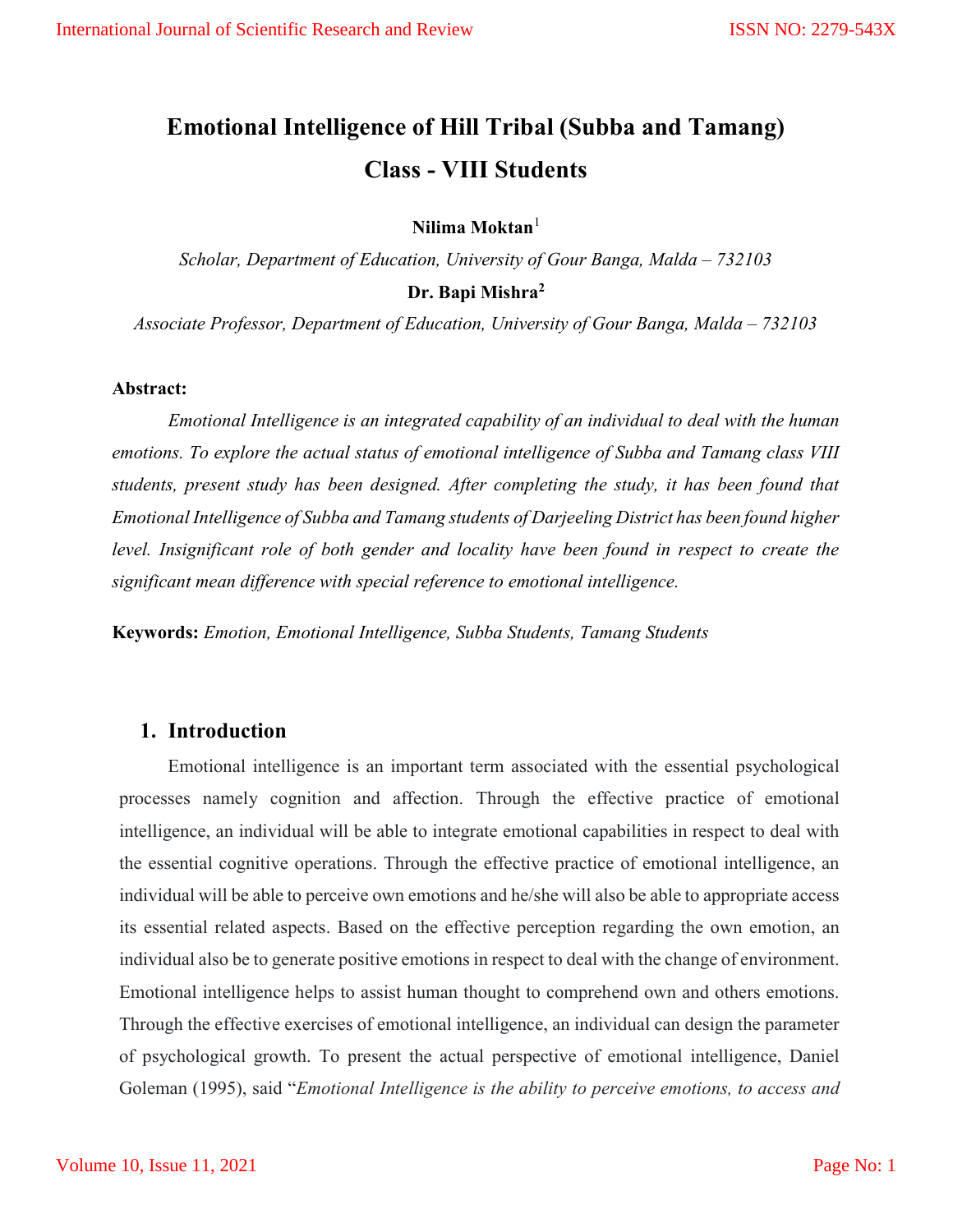# Emotional Intelligence of Hill Tribal (Subba and Tamang) Class - VIII Students

Nilima Moktan $<sup>1</sup>$ </sup>

Scholar, Department of Education, University of Gour Banga, Malda – 732103

Dr. Bapi Mishra<sup>2</sup>

Associate Professor, Department of Education, University of Gour Banga, Malda – 732103

#### Abstract:

 Emotional Intelligence is an integrated capability of an individual to deal with the human emotions. To explore the actual status of emotional intelligence of Subba and Tamang class VIII students, present study has been designed. After completing the study, it has been found that Emotional Intelligence of Subba and Tamang students of Darjeeling District has been found higher level. Insignificant role of both gender and locality have been found in respect to create the significant mean difference with special reference to emotional intelligence.

Keywords: Emotion, Emotional Intelligence, Subba Students, Tamang Students

### 1. Introduction

 Emotional intelligence is an important term associated with the essential psychological processes namely cognition and affection. Through the effective practice of emotional intelligence, an individual will be able to integrate emotional capabilities in respect to deal with the essential cognitive operations. Through the effective practice of emotional intelligence, an individual will be able to perceive own emotions and he/she will also be able to appropriate access its essential related aspects. Based on the effective perception regarding the own emotion, an individual also be to generate positive emotions in respect to deal with the change of environment. Emotional intelligence helps to assist human thought to comprehend own and others emotions. Through the effective exercises of emotional intelligence, an individual can design the parameter of psychological growth. To present the actual perspective of emotional intelligence, Daniel Goleman (1995), said "Emotional Intelligence is the ability to perceive emotions, to access and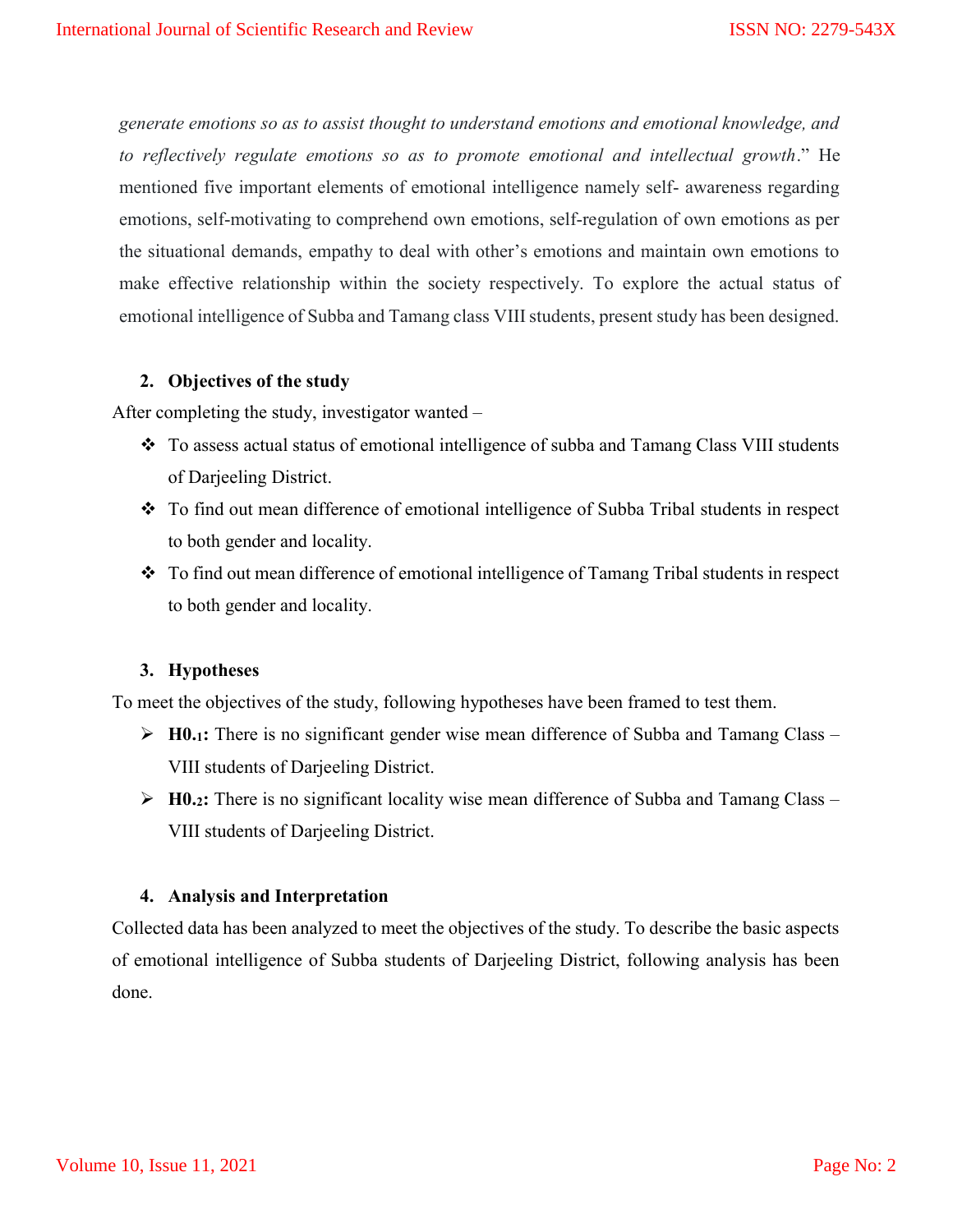generate emotions so as to assist thought to understand emotions and emotional knowledge, and to reflectively regulate emotions so as to promote emotional and intellectual growth." He mentioned five important elements of emotional intelligence namely self- awareness regarding emotions, self-motivating to comprehend own emotions, self-regulation of own emotions as per the situational demands, empathy to deal with other's emotions and maintain own emotions to make effective relationship within the society respectively. To explore the actual status of emotional intelligence of Subba and Tamang class VIII students, present study has been designed.

#### 2. Objectives of the study

After completing the study, investigator wanted –

- To assess actual status of emotional intelligence of subba and Tamang Class VIII students of Darjeeling District.
- To find out mean difference of emotional intelligence of Subba Tribal students in respect to both gender and locality.
- To find out mean difference of emotional intelligence of Tamang Tribal students in respect to both gender and locality.

#### 3. Hypotheses

To meet the objectives of the study, following hypotheses have been framed to test them.

- $\triangleright$  H0.1: There is no significant gender wise mean difference of Subba and Tamang Class VIII students of Darjeeling District.
- $\triangleright$  H0.2: There is no significant locality wise mean difference of Subba and Tamang Class VIII students of Darjeeling District.

#### 4. Analysis and Interpretation

Collected data has been analyzed to meet the objectives of the study. To describe the basic aspects of emotional intelligence of Subba students of Darjeeling District, following analysis has been done.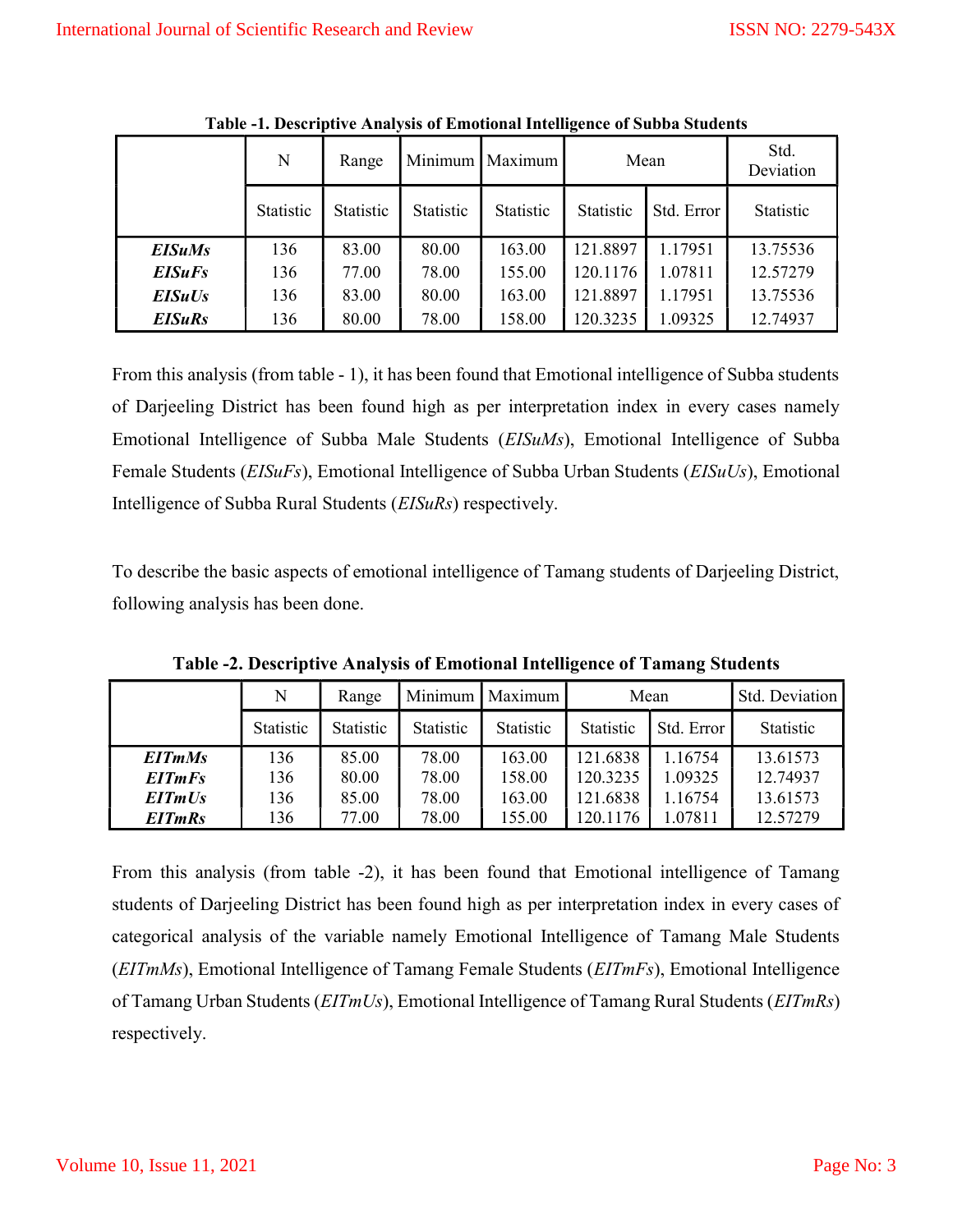|               | N         | Range     |           | Minimum   Maximum | Mean      |            | Std.<br>Deviation |
|---------------|-----------|-----------|-----------|-------------------|-----------|------------|-------------------|
|               | Statistic | Statistic | Statistic | Statistic         | Statistic | Std. Error | Statistic         |
| <b>EISuMs</b> | 136       | 83.00     | 80.00     | 163.00            | 121.8897  | 1.17951    | 13.75536          |
| <b>EISuFs</b> | 136       | 77.00     | 78.00     | 155.00            | 120.1176  | 1.07811    | 12.57279          |
| <b>EISuUs</b> | 136       | 83.00     | 80.00     | 163.00            | 121.8897  | 1.17951    | 13.75536          |
| <b>EISuRs</b> | 136       | 80.00     | 78.00     | 158.00            | 120.3235  | 1.09325    | 12.74937          |

Table -1. Descriptive Analysis of Emotional Intelligence of Subba Students

From this analysis (from table - 1), it has been found that Emotional intelligence of Subba students of Darjeeling District has been found high as per interpretation index in every cases namely Emotional Intelligence of Subba Male Students (EISuMs), Emotional Intelligence of Subba Female Students (EISuFs), Emotional Intelligence of Subba Urban Students (EISuUs), Emotional Intelligence of Subba Rural Students (EISuRs) respectively.

To describe the basic aspects of emotional intelligence of Tamang students of Darjeeling District, following analysis has been done.

|               | N         | Range     | Minimum   | Maximum   | Mean      |            | Std. Deviation |
|---------------|-----------|-----------|-----------|-----------|-----------|------------|----------------|
|               | Statistic | Statistic | Statistic | Statistic | Statistic | Std. Error | Statistic      |
| <b>EITmMs</b> | 136       | 85.00     | 78.00     | 163.00    | 121.6838  | 1.16754    | 13.61573       |
| <b>EITmFs</b> | 136       | 80.00     | 78.00     | 158.00    | 120.3235  | 1.09325    | 12.74937       |
| EITmUs        | 136       | 85.00     | 78.00     | 163.00    | 121.6838  | 1.16754    | 13.61573       |
| <b>EITmRs</b> | 136       | 77.00     | 78.00     | 155.00    | 120.1176  | 1.07811    | 12.57279       |

Table -2. Descriptive Analysis of Emotional Intelligence of Tamang Students

From this analysis (from table -2), it has been found that Emotional intelligence of Tamang students of Darjeeling District has been found high as per interpretation index in every cases of categorical analysis of the variable namely Emotional Intelligence of Tamang Male Students (EITmMs), Emotional Intelligence of Tamang Female Students (EITmFs), Emotional Intelligence of Tamang Urban Students (EITmUs), Emotional Intelligence of Tamang Rural Students (EITmRs) respectively.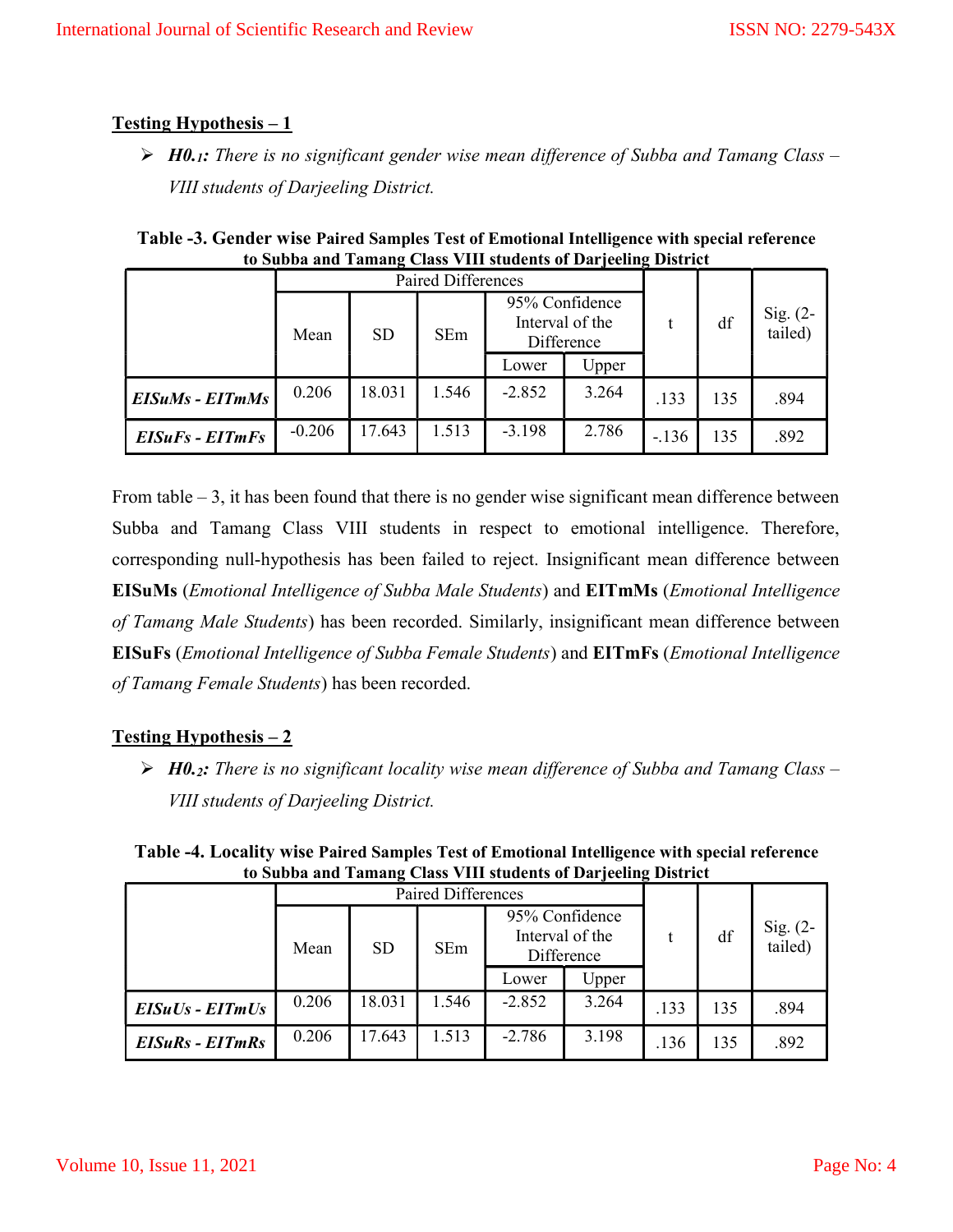## Testing Hypothesis – 1

 $\triangleright$  H0.1: There is no significant gender wise mean difference of Subba and Tamang Class – VIII students of Darjeeling District.

| $=$ $\frac{1}{2}$ $\frac{1}{2}$ $\frac{1}{2}$ $\frac{1}{2}$ $\frac{1}{2}$ $\frac{1}{2}$ |                    |           |       |                                                 |       |        |     |                     |  |
|-----------------------------------------------------------------------------------------|--------------------|-----------|-------|-------------------------------------------------|-------|--------|-----|---------------------|--|
|                                                                                         | Paired Differences |           |       |                                                 |       |        |     |                     |  |
|                                                                                         | Mean               | <b>SD</b> | SEm   | 95% Confidence<br>Interval of the<br>Difference |       | df     |     | Sig. (2-<br>tailed) |  |
|                                                                                         |                    |           |       | Lower                                           | Upper |        |     |                     |  |
| $EISuMs - EITmMs$                                                                       | 0.206              | 18.031    | 1.546 | $-2.852$                                        | 3.264 | .133   | 135 | .894                |  |
| <b>EISuFs - EITmFs</b>                                                                  | $-0.206$           | 17.643    | 1.513 | $-3.198$                                        | 2.786 | $-136$ | 135 | .892                |  |

Table -3. Gender wise Paired Samples Test of Emotional Intelligence with special reference to Subba and Tamang Class VIII students of Darjeeling District

From table – 3, it has been found that there is no gender wise significant mean difference between Subba and Tamang Class VIII students in respect to emotional intelligence. Therefore, corresponding null-hypothesis has been failed to reject. Insignificant mean difference between EISuMs (Emotional Intelligence of Subba Male Students) and EITmMs (Emotional Intelligence of Tamang Male Students) has been recorded. Similarly, insignificant mean difference between EISuFs (Emotional Intelligence of Subba Female Students) and EITmFs (Emotional Intelligence of Tamang Female Students) has been recorded.

#### Testing Hypothesis – 2

 $\triangleright$  H0.2: There is no significant locality wise mean difference of Subba and Tamang Class – VIII students of Darjeeling District.

|                               | Paired Differences |           |       |                                                 |       |      |     |                     |
|-------------------------------|--------------------|-----------|-------|-------------------------------------------------|-------|------|-----|---------------------|
|                               | Mean               | <b>SD</b> | SEm   | 95% Confidence<br>Interval of the<br>Difference |       |      | df  | Sig. (2-<br>tailed) |
|                               |                    |           |       | Lower                                           | Upper |      |     |                     |
| $EISuUs$ - $EITmUs$           | 0.206              | 18.031    | 1.546 | $-2.852$                                        | 3.264 | .133 | 135 | .894                |
| <b>EISuRs</b> - <b>EITmRs</b> | 0.206              | 17.643    | 1.513 | $-2.786$                                        | 3.198 | .136 | 135 | .892                |

Table -4. Locality wise Paired Samples Test of Emotional Intelligence with special reference to Subba and Tamang Class VIII students of Darjeeling District